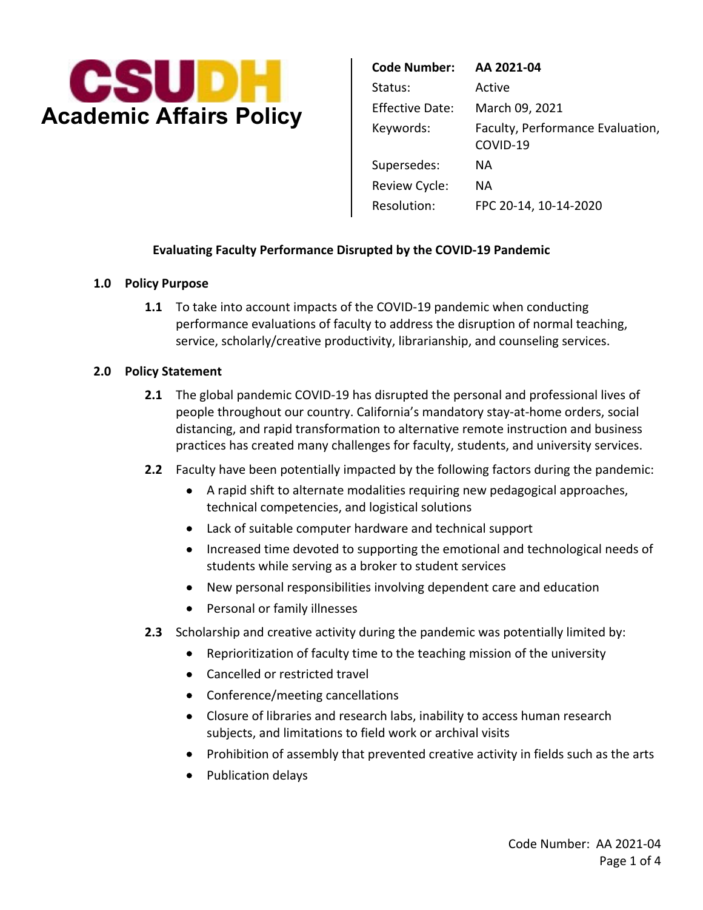

|                                | <b>Code Number:</b>    | AA 2021-04                                   |
|--------------------------------|------------------------|----------------------------------------------|
| <b>Academic Affairs Policy</b> | Status:                | Active                                       |
|                                | <b>Effective Date:</b> | March 09, 2021                               |
|                                | Keywords:              | Faculty, Performance Evaluation,<br>COVID-19 |
|                                | Supersedes:            | ΝA                                           |
|                                | Review Cycle:          | NА                                           |
|                                | Resolution:            | FPC 20-14, 10-14-2020                        |

### **Evaluating Faculty Performance Disrupted by the COVID-19 Pandemic**

### **1.0 Policy Purpose**

**1.1** To take into account impacts of the COVID-19 pandemic when conducting performance evaluations of faculty to address the disruption of normal teaching, service, scholarly/creative productivity, librarianship, and counseling services.

#### **2.0 Policy Statement**

- people throughout our country. California's mandatory stay-at-home orders, social distancing, and rapid transformation to alternative remote instruction and business practices has created many challenges for faculty, students, and university services. **2.1** The global pandemic COVID-19 has disrupted the personal and professional lives of
- **2.2** Faculty have been potentially impacted by the following factors during the pandemic:
	- A rapid shift to alternate modalities requiring new pedagogical approaches, technical competencies, and logistical solutions
	- Lack of suitable computer hardware and technical support
	- • Increased time devoted to supporting the emotional and technological needs of students while serving as a broker to student services
	- New personal responsibilities involving dependent care and education
	- Personal or family illnesses
- **2.3** Scholarship and creative activity during the pandemic was potentially limited by:
	- Reprioritization of faculty time to the teaching mission of the university
	- Cancelled or restricted travel
	- Conference/meeting cancellations
	- subjects, and limitations to field work or archival visits • Closure of libraries and research labs, inability to access human research
	- Prohibition of assembly that prevented creative activity in fields such as the arts
	- Publication delays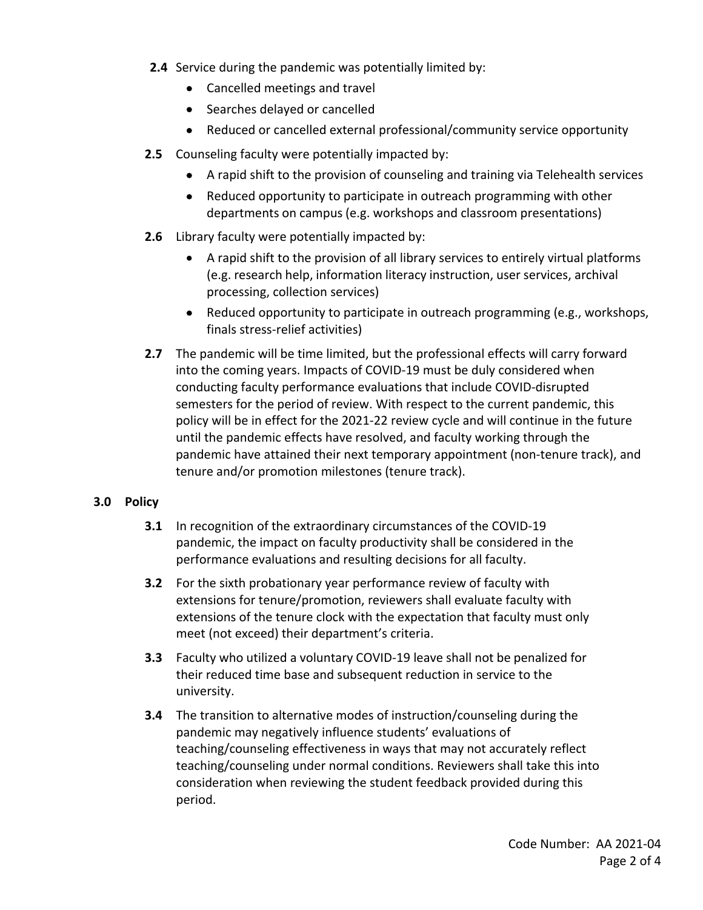- **2.4** Service during the pandemic was potentially limited by:
	- Cancelled meetings and travel
	- Searches delayed or cancelled
	- Reduced or cancelled external professional/community service opportunity
- **2.5** Counseling faculty were potentially impacted by:
	- A rapid shift to the provision of counseling and training via Telehealth services
	- • Reduced opportunity to participate in outreach programming with other departments on campus (e.g. workshops and classroom presentations)
- **2.6** Library faculty were potentially impacted by:
	- • A rapid shift to the provision of all library services to entirely virtual platforms (e.g. research help, information literacy instruction, user services, archival processing, collection services)
	- • Reduced opportunity to participate in outreach programming (e.g., workshops, finals stress-relief activities)
- **2.7** The pandemic will be time limited, but the professional effects will carry forward into the coming years. Impacts of COVID-19 must be duly considered when conducting faculty performance evaluations that include COVID-disrupted semesters for the period of review. With respect to the current pandemic, this policy will be in effect for the 2021-22 review cycle and will continue in the future until the pandemic effects have resolved, and faculty working through the pandemic have attained their next temporary appointment (non-tenure track), and tenure and/or promotion milestones (tenure track).

# **3.0 Policy**

- **3.1** In recognition of the extraordinary circumstances of the COVID-19 pandemic, the impact on faculty productivity shall be considered in the performance evaluations and resulting decisions for all faculty.
- **3.2** For the sixth probationary year performance review of faculty with extensions for tenure/promotion, reviewers shall evaluate faculty with extensions of the tenure clock with the expectation that faculty must only meet (not exceed) their department's criteria.
- **3.3** Faculty who utilized a voluntary COVID-19 leave shall not be penalized for their reduced time base and subsequent reduction in service to the university.
- **3.4** The transition to alternative modes of instruction/counseling during the pandemic may negatively influence students' evaluations of teaching/counseling effectiveness in ways that may not accurately reflect teaching/counseling under normal conditions. Reviewers shall take this into consideration when reviewing the student feedback provided during this period.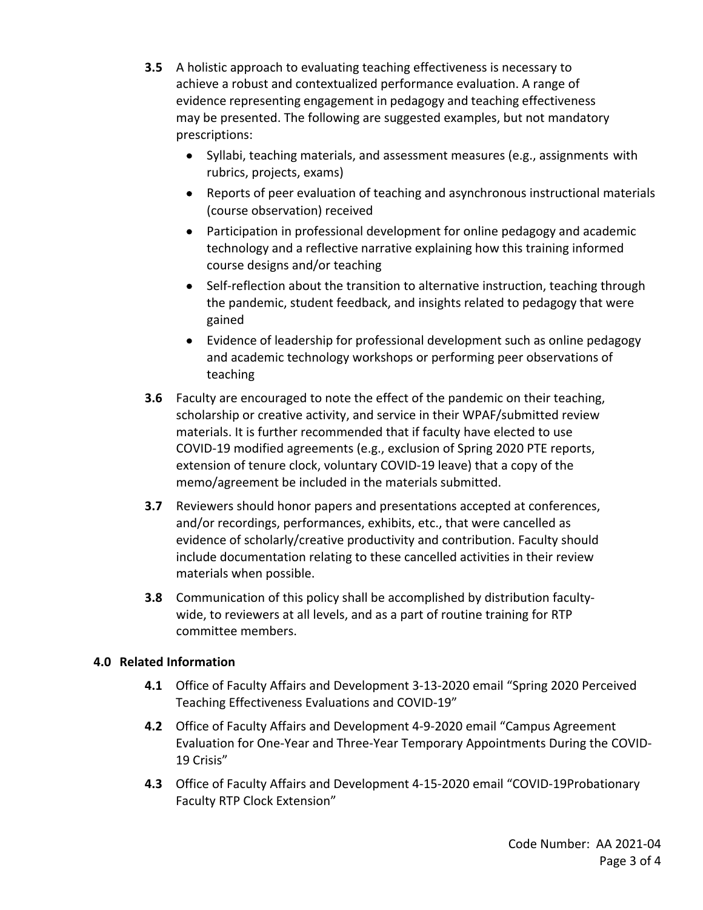- **3.5** A holistic approach to evaluating teaching effectiveness is necessary to achieve a robust and contextualized performance evaluation. A range of evidence representing engagement in pedagogy and teaching effectiveness may be presented. The following are suggested examples, but not mandatory prescriptions:
	- • Syllabi, teaching materials, and assessment measures (e.g., assignments with rubrics, projects, exams)
	- • Reports of peer evaluation of teaching and asynchronous instructional materials (course observation) received
	- • Participation in professional development for online pedagogy and academic technology and a reflective narrative explaining how this training informed course designs and/or teaching
	- • Self-reflection about the transition to alternative instruction, teaching through the pandemic, student feedback, and insights related to pedagogy that were gained
	- • Evidence of leadership for professional development such as online pedagogy and academic technology workshops or performing peer observations of teaching
- **3.6** Faculty are encouraged to note the effect of the pandemic on their teaching, scholarship or creative activity, and service in their WPAF/submitted review materials. It is further recommended that if faculty have elected to use COVID-19 modified agreements (e.g., exclusion of Spring 2020 PTE reports, extension of tenure clock, voluntary COVID-19 leave) that a copy of the memo/agreement be included in the materials submitted.
- **3.7** Reviewers should honor papers and presentations accepted at conferences, and/or recordings, performances, exhibits, etc., that were cancelled as evidence of scholarly/creative productivity and contribution. Faculty should include documentation relating to these cancelled activities in their review materials when possible.
- **3.8** Communication of this policy shall be accomplished by distribution faculty- wide, to reviewers at all levels, and as a part of routine training for RTP committee members.

# **4.0 Related Information**

- **4.1** Office of Faculty Affairs and Development 3-13-2020 email "Spring 2020 Perceived Teaching Effectiveness Evaluations and COVID-19"
- **4.2** Office of Faculty Affairs and Development 4-9-2020 email "Campus Agreement Evaluation for One-Year and Three-Year Temporary Appointments During the COVID-19 Crisis"
- **4.3** Office of Faculty Affairs and Development 4-15-2020 email "COVID-19Probationary Faculty RTP Clock Extension"